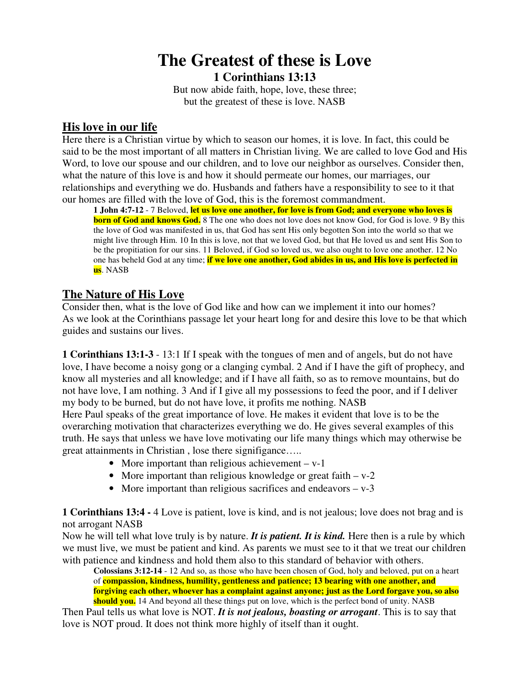## **The Greatest of these is Love 1 Corinthians 13:13**

But now abide faith, hope, love, these three; but the greatest of these is love. NASB

## **His love in our life**

Here there is a Christian virtue by which to season our homes, it is love. In fact, this could be said to be the most important of all matters in Christian living. We are called to love God and His Word, to love our spouse and our children, and to love our neighbor as ourselves. Consider then, what the nature of this love is and how it should permeate our homes, our marriages, our relationships and everything we do. Husbands and fathers have a responsibility to see to it that our homes are filled with the love of God, this is the foremost commandment.

1 John 4:7-12 - 7 Beloved, let us love one another, for love is from God; and everyone who loves is **born of God and knows God.** 8 The one who does not love does not know God, for God is love. 9 By this the love of God was manifested in us, that God has sent His only begotten Son into the world so that we might live through Him. 10 In this is love, not that we loved God, but that He loved us and sent His Son to be the propitiation for our sins. 11 Beloved, if God so loved us, we also ought to love one another. 12 No one has beheld God at any time; **if we love one another, God abides in us, and His love is perfected in us**. NASB

## **The Nature of His Love**

Consider then, what is the love of God like and how can we implement it into our homes? As we look at the Corinthians passage let your heart long for and desire this love to be that which guides and sustains our lives.

**1 Corinthians 13:1-3** - 13:1 If I speak with the tongues of men and of angels, but do not have love, I have become a noisy gong or a clanging cymbal. 2 And if I have the gift of prophecy, and know all mysteries and all knowledge; and if I have all faith, so as to remove mountains, but do not have love, I am nothing. 3 And if I give all my possessions to feed the poor, and if I deliver my body to be burned, but do not have love, it profits me nothing. NASB

Here Paul speaks of the great importance of love. He makes it evident that love is to be the overarching motivation that characterizes everything we do. He gives several examples of this truth. He says that unless we have love motivating our life many things which may otherwise be great attainments in Christian , lose there signifigance…..

- More important than religious achievement  $v-1$
- More important than religious knowledge or great faith v-2
- More important than religious sacrifices and endeavors  $v 3$

**1 Corinthians 13:4 -** 4 Love is patient, love is kind, and is not jealous; love does not brag and is not arrogant NASB

Now he will tell what love truly is by nature. *It is patient. It is kind.* Here then is a rule by which we must live, we must be patient and kind. As parents we must see to it that we treat our children with patience and kindness and hold them also to this standard of behavior with others.

**Colossians 3:12-14** - 12 And so, as those who have been chosen of God, holy and beloved, put on a heart of **compassion, kindness, humility, gentleness and patience; 13 bearing with one another, and forgiving each other, whoever has a complaint against anyone; just as the Lord forgave you, so also should you.** 14 And beyond all these things put on love, which is the perfect bond of unity. NASB

Then Paul tells us what love is NOT. *It is not jealous, boasting or arrogant*. This is to say that love is NOT proud. It does not think more highly of itself than it ought.